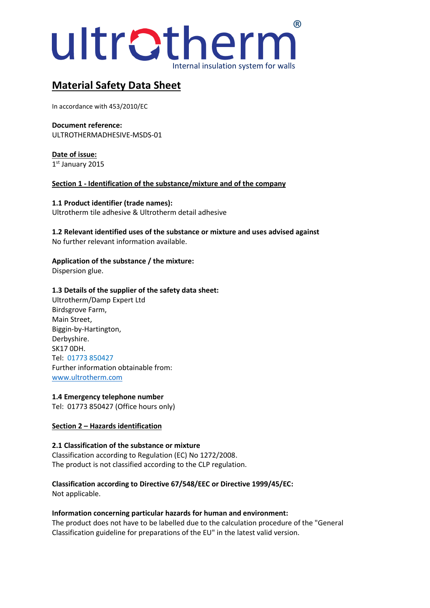

# **Material Safety Data Sheet**

In accordance with 453/2010/EC

**Document reference:** ULTROTHERMADHESIVE-MSDS-01

**Date of issue:** 1 st January 2015

**Section 1 - Identification of the substance/mixture and of the company**

**1.1 Product identifier (trade names):** Ultrotherm tile adhesive & Ultrotherm detail adhesive

**1.2 Relevant identified uses of the substance or mixture and uses advised against** No further relevant information available.

## **Application of the substance / the mixture:**

Dispersion glue.

#### **1.3 Details of the supplier of the safety data sheet:**

Ultrotherm/Damp Expert Ltd Birdsgrove Farm, Main Street, Biggin-by-Hartington, Derbyshire. SK17 0DH. Tel: 01773 850427 Further information obtainable from: [www.ultrotherm.com](http://www.ultrotherm.com/)

#### **1.4 Emergency telephone number**

Tel: 01773 850427 (Office hours only)

## **Section 2 – Hazards identification**

## **2.1 Classification of the substance or mixture**

Classification according to Regulation (EC) No 1272/2008. The product is not classified according to the CLP regulation.

## **Classification according to Directive 67/548/EEC or Directive 1999/45/EC:**

Not applicable.

#### **Information concerning particular hazards for human and environment:**

The product does not have to be labelled due to the calculation procedure of the "General Classification guideline for preparations of the EU" in the latest valid version.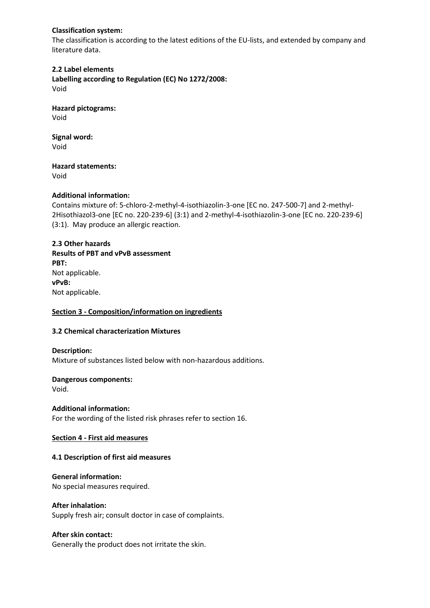#### **Classification system:**

The classification is according to the latest editions of the EU-lists, and extended by company and literature data.

**2.2 Label elements Labelling according to Regulation (EC) No 1272/2008:** Void

**Hazard pictograms:** Void

**Signal word:** Void

**Hazard statements:**

Void

## **Additional information:**

Contains mixture of: 5-chloro-2-methyl-4-isothiazolin-3-one [EC no. 247-500-7] and 2-methyl-2Hisothiazol3-one [EC no. 220-239-6] (3:1) and 2-methyl-4-isothiazolin-3-one [EC no. 220-239-6] (3:1). May produce an allergic reaction.

## **2.3 Other hazards Results of PBT and vPvB assessment PBT:** Not applicable. **vPvB:** Not applicable.

## **Section 3 - Composition/information on ingredients**

## **3.2 Chemical characterization Mixtures**

## **Description:**

Mixture of substances listed below with non-hazardous additions.

## **Dangerous components:**

Void.

## **Additional information:**

For the wording of the listed risk phrases refer to section 16.

## **Section 4 - First aid measures**

## **4.1 Description of first aid measures**

## **General information:**

No special measures required.

#### **After inhalation:**

Supply fresh air; consult doctor in case of complaints.

#### **After skin contact:**

Generally the product does not irritate the skin.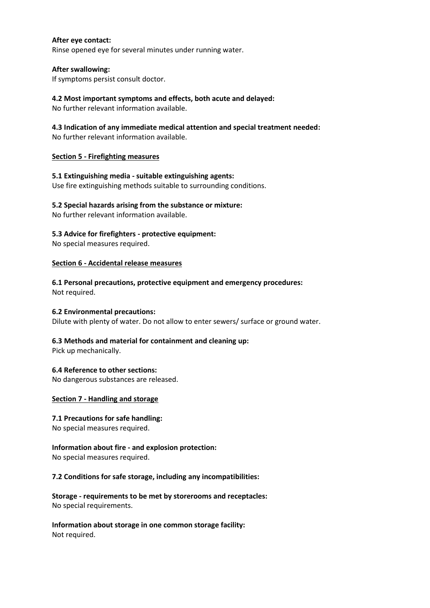#### **After eye contact:**

Rinse opened eye for several minutes under running water.

#### **After swallowing:**

If symptoms persist consult doctor.

#### **4.2 Most important symptoms and effects, both acute and delayed:**

No further relevant information available.

### **4.3 Indication of any immediate medical attention and special treatment needed:**

No further relevant information available.

#### **Section 5 - Firefighting measures**

**5.1 Extinguishing media - suitable extinguishing agents:** Use fire extinguishing methods suitable to surrounding conditions.

#### **5.2 Special hazards arising from the substance or mixture:**

No further relevant information available.

#### **5.3 Advice for firefighters - protective equipment:**

No special measures required.

#### **Section 6 - Accidental release measures**

**6.1 Personal precautions, protective equipment and emergency procedures:** Not required.

#### **6.2 Environmental precautions:**

Dilute with plenty of water. Do not allow to enter sewers/ surface or ground water.

## **6.3 Methods and material for containment and cleaning up:**

Pick up mechanically.

#### **6.4 Reference to other sections:**

No dangerous substances are released.

#### **Section 7 - Handling and storage**

#### **7.1 Precautions for safe handling:**

No special measures required.

## **Information about fire - and explosion protection:**

No special measures required.

#### **7.2 Conditions for safe storage, including any incompatibilities:**

**Storage - requirements to be met by storerooms and receptacles:** No special requirements.

**Information about storage in one common storage facility:** Not required.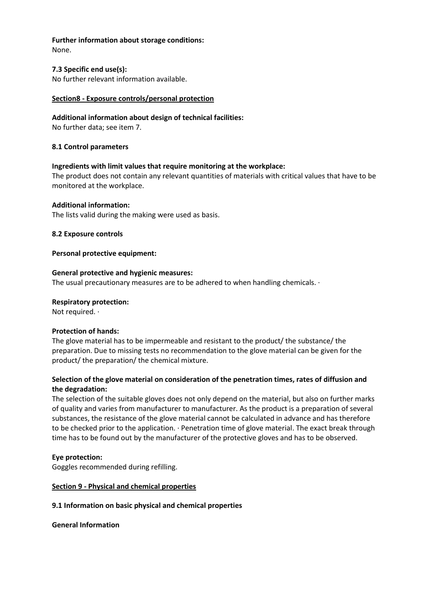## **Further information about storage conditions:**

None.

#### **7.3 Specific end use(s):**

No further relevant information available.

#### **Section8 - Exposure controls/personal protection**

#### **Additional information about design of technical facilities:**

No further data; see item 7.

#### **8.1 Control parameters**

#### **Ingredients with limit values that require monitoring at the workplace:**

The product does not contain any relevant quantities of materials with critical values that have to be monitored at the workplace.

#### **Additional information:**

The lists valid during the making were used as basis.

#### **8.2 Exposure controls**

#### **Personal protective equipment:**

#### **General protective and hygienic measures:**

The usual precautionary measures are to be adhered to when handling chemicals. ·

#### **Respiratory protection:**

Not required. ·

#### **Protection of hands:**

The glove material has to be impermeable and resistant to the product/ the substance/ the preparation. Due to missing tests no recommendation to the glove material can be given for the product/ the preparation/ the chemical mixture.

#### **Selection of the glove material on consideration of the penetration times, rates of diffusion and the degradation:**

The selection of the suitable gloves does not only depend on the material, but also on further marks of quality and varies from manufacturer to manufacturer. As the product is a preparation of several substances, the resistance of the glove material cannot be calculated in advance and has therefore to be checked prior to the application. · Penetration time of glove material. The exact break through time has to be found out by the manufacturer of the protective gloves and has to be observed.

#### **Eye protection:**

Goggles recommended during refilling.

## **Section 9 - Physical and chemical properties**

#### **9.1 Information on basic physical and chemical properties**

**General Information**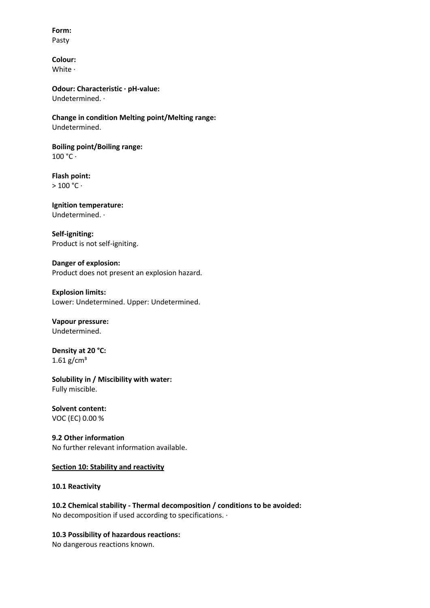**Form:**  Pasty

**Colour:**  White ·

**Odour: Characteristic · pH-value:**  Undetermined. ·

**Change in condition Melting point/Melting range:** Undetermined.

**Boiling point/Boiling range:**   $100 °C \cdot$ 

**Flash point:**   $> 100 °C$ 

#### **Ignition temperature:**  Undetermined. ·

**Self-igniting:**  Product is not self-igniting.

## **Danger of explosion:**

Product does not present an explosion hazard.

#### **Explosion limits:**

Lower: Undetermined. Upper: Undetermined.

## **Vapour pressure:**

Undetermined.

**Density at 20 °C:**   $1.61$  g/cm<sup>3</sup>

**Solubility in / Miscibility with water:**  Fully miscible.

## **Solvent content:**

VOC (EC) 0.00 %

**9.2 Other information** No further relevant information available.

#### **Section 10: Stability and reactivity**

**10.1 Reactivity** 

**10.2 Chemical stability - Thermal decomposition / conditions to be avoided:** No decomposition if used according to specifications. ·

## **10.3 Possibility of hazardous reactions:**

No dangerous reactions known.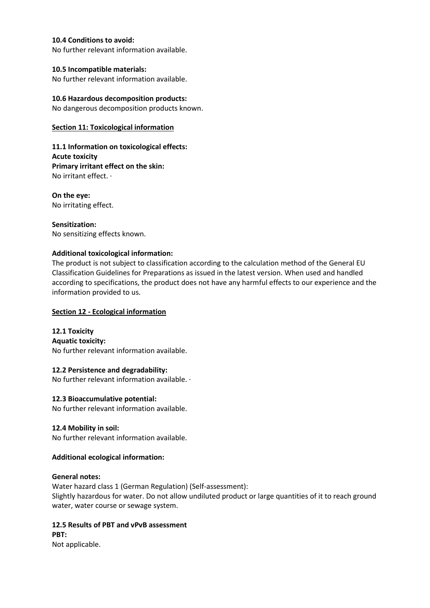#### **10.4 Conditions to avoid:**

No further relevant information available.

#### **10.5 Incompatible materials:**

No further relevant information available.

## **10.6 Hazardous decomposition products:**

No dangerous decomposition products known.

### **Section 11: Toxicological information**

**11.1 Information on toxicological effects: Acute toxicity Primary irritant effect on the skin:** No irritant effect. ·

**On the eye:** No irritating effect.

**Sensitization:** No sensitizing effects known.

## **Additional toxicological information:**

The product is not subject to classification according to the calculation method of the General EU Classification Guidelines for Preparations as issued in the latest version. When used and handled according to specifications, the product does not have any harmful effects to our experience and the information provided to us.

## **Section 12 - Ecological information**

**12.1 Toxicity Aquatic toxicity:** No further relevant information available.

## **12.2 Persistence and degradability:**

No further relevant information available. ·

#### **12.3 Bioaccumulative potential:**

No further relevant information available.

## **12.4 Mobility in soil:**

No further relevant information available.

## **Additional ecological information:**

#### **General notes:**

Water hazard class 1 (German Regulation) (Self-assessment): Slightly hazardous for water. Do not allow undiluted product or large quantities of it to reach ground water, water course or sewage system.

#### **12.5 Results of PBT and vPvB assessment PBT:**

Not applicable.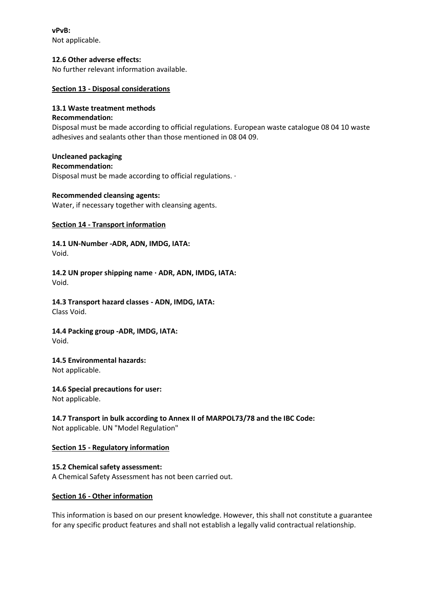**vPvB:**  Not applicable.

#### **12.6 Other adverse effects:**

No further relevant information available.

#### **Section 13 - Disposal considerations**

#### **13.1 Waste treatment methods**

#### **Recommendation:**

Disposal must be made according to official regulations. European waste catalogue 08 04 10 waste adhesives and sealants other than those mentioned in 08 04 09.

## **Uncleaned packaging**

**Recommendation:**

Disposal must be made according to official regulations. ·

#### **Recommended cleansing agents:**

Water, if necessary together with cleansing agents.

#### **Section 14 - Transport information**

**14.1 UN-Number -ADR, ADN, IMDG, IATA:** Void.

**14.2 UN proper shipping name · ADR, ADN, IMDG, IATA:** Void.

**14.3 Transport hazard classes - ADN, IMDG, IATA:**  Class Void.

#### **14.4 Packing group -ADR, IMDG, IATA:** Void.

## **14.5 Environmental hazards:**

Not applicable.

#### **14.6 Special precautions for user:**

Not applicable.

#### **14.7 Transport in bulk according to Annex II of MARPOL73/78 and the IBC Code:** Not applicable. UN "Model Regulation"

#### **Section 15 - Regulatory information**

**15.2 Chemical safety assessment:** A Chemical Safety Assessment has not been carried out.

#### **Section 16 - Other information**

This information is based on our present knowledge. However, this shall not constitute a guarantee for any specific product features and shall not establish a legally valid contractual relationship.